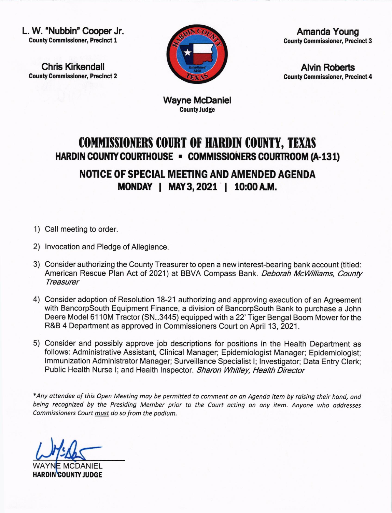L. W. "Nubbin" Cooper Jr. County Commissioner, Precinct I

Chris Kirkendall County Gommissioner, Precinct 2



Amanda Young **County Commissioner, Precinct 3** 

Alvin Roberts County Commissioner, Precinct 4

Wayne McDaniel CountyJudge

## COMMISSIONERS COURT OF HARDIN COUNTY, TEXAS HARDIN COUNTY COURTHOUSE - COMMISSIONERS COURTROOM (A-131)

NOTICE OF SPECIAL MEETING AND AMENDED AGENDA MONDAY I MAY3,2021 I 10:00AM.

- 1) Call meeting to order.
- 2) lnvocation and Pledge of Allegiance.
- 3) Consider authorizing the County Treasurer to open a new interest-bearing bank account (titled: American Rescue Plan Act of 2021) at BBVA Compass Bank. Deborah McWilliams, County **Treasurer**
- 4) Consider adoption of Resolution 18-21 authorizing and approving execution of an Agreement with BancorpSouth Equipment Finance, a division of BancorpSouth Bank to purchase a John Deere Model 6110M Tractor (SN...3445) equipped with a 22' Tiger Bengal Boom Mower for the R&B 4 Department as approved in Commissioners Court on April 13,2021.
- 5) Consider and possibly approve job descriptions for positions in the Health Department as follows: Administrative Assistant, Clinical Manager; Epidemiologist Manager; Epidemiologist; lmmunization Administrator Manager; Surveillance Specialist l; lnvestigator; Data Entry Clerk; Public Health Nurse I; and Health Inspector. Sharon Whitley, Health Director

\*Any attendee of this Open Meeting moy be permitted to comment on an Agendo item by raising their hond, dnd being recognized by the Presiding Member prior to the Court acting on any item. Anyone who addresses Commissioners Court must do so from the podium.

C

WAYN<mark>E MCDANIEL</mark> HARDIN COUNTY JUDGE